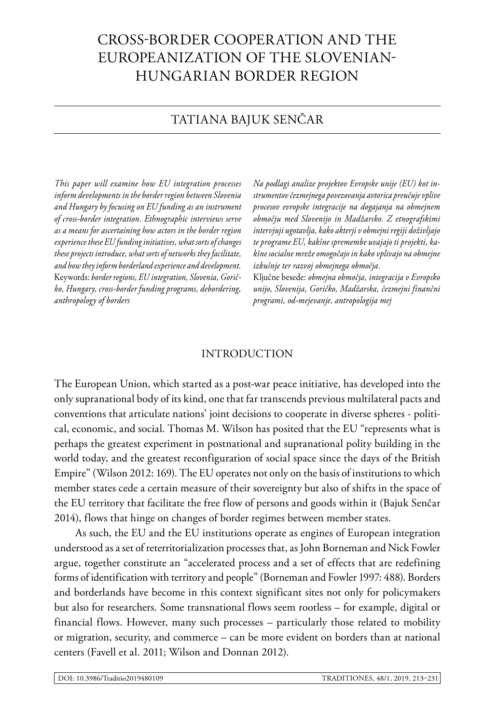# CROSS-BORDER COOPERATION AND THE EUROPEANIZATION OF THE SLOVENIAN-HUNGARIAN BORDER REGION

## TATIANA BAJUK SENČAR

*This paper will examine how EU integration processes inform developments in the border region between Slovenia and Hungary by focusing on EU funding as an instrument of cross-border integration. Ethnographic interviews serve as a means for ascertaining how actors in the border region experience these EU funding initiatives, what sorts of changes these projects introduce, what sorts of networks they facilitate, and how they inform borderland experience and development.*  Keywords: *border regions, EU integration, Slovenia, Goričko, Hungary, cross-border funding programs, debordering, anthropology of borders*

*Na podlagi analize projektov Evropske unije (EU) kot instrumentov čezmejnega povezovanja avtorica preučuje vplive procesov evropske integracije na dogajanja na obmejnem območju med Slovenijo in Madžarsko. Z etnografskimi intervjuji ugotavlja, kako akterji v obmejni regiji doživljajo te programe EU, kakšne spremembe uvajajo ti projekti, kakšne socialne mreže omogočajo in kako vplivajo na obmejne izkušnje ter razvoj obmejnega območja.*

Ključne besede: *obmejna območja, integracija v Evropsko unijo, Slovenija, Goričko, Madžarska, čezmejni finančni programi, od-mejevanje, antropologija mej*

#### INTRODUCTION

The European Union, which started as a post-war peace initiative, has developed into the only supranational body of its kind, one that far transcends previous multilateral pacts and conventions that articulate nations' joint decisions to cooperate in diverse spheres - political, economic, and social. Thomas M. Wilson has posited that the EU "represents what is perhaps the greatest experiment in postnational and supranational polity building in the world today, and the greatest reconfiguration of social space since the days of the British Empire" (Wilson 2012: 169). The EU operates not only on the basis of institutions to which member states cede a certain measure of their sovereignty but also of shifts in the space of the EU territory that facilitate the free flow of persons and goods within it (Bajuk Senčar 2014), flows that hinge on changes of border regimes between member states.

As such, the EU and the EU institutions operate as engines of European integration understood as a set of reterritorialization processes that, as John Borneman and Nick Fowler argue, together constitute an "accelerated process and a set of effects that are redefining forms of identification with territory and people" (Borneman and Fowler 1997: 488). Borders and borderlands have become in this context significant sites not only for policymakers but also for researchers. Some transnational flows seem rootless – for example, digital or financial flows. However, many such processes – particularly those related to mobility or migration, security, and commerce – can be more evident on borders than at national centers (Favell et al. 2011; Wilson and Donnan 2012).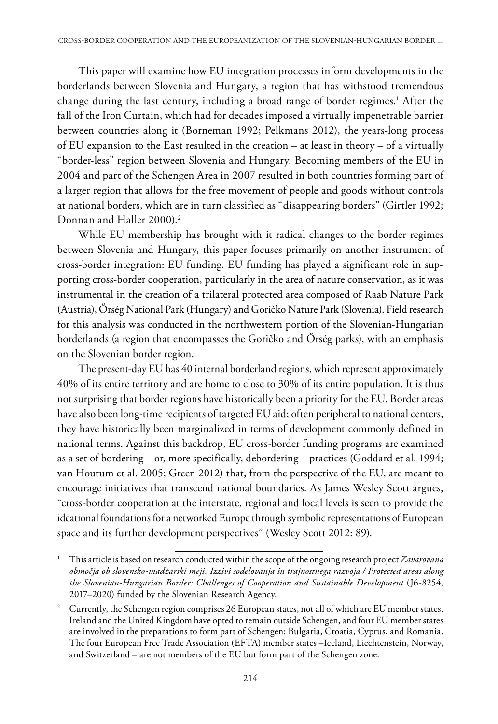This paper will examine how EU integration processes inform developments in the borderlands between Slovenia and Hungary, a region that has withstood tremendous change during the last century, including a broad range of border regimes.<sup>1</sup> After the fall of the Iron Curtain, which had for decades imposed a virtually impenetrable barrier between countries along it (Borneman 1992; Pelkmans 2012), the years-long process of EU expansion to the East resulted in the creation – at least in theory – of a virtually "border-less" region between Slovenia and Hungary. Becoming members of the EU in 2004 and part of the Schengen Area in 2007 resulted in both countries forming part of a larger region that allows for the free movement of people and goods without controls at national borders, which are in turn classified as "disappearing borders" (Girtler 1992; Donnan and Haller 2000).2

While EU membership has brought with it radical changes to the border regimes between Slovenia and Hungary, this paper focuses primarily on another instrument of cross-border integration: EU funding. EU funding has played a significant role in supporting cross-border cooperation, particularly in the area of nature conservation, as it was instrumental in the creation of a trilateral protected area composed of Raab Nature Park (Austria), Őrség National Park (Hungary) and Goričko Nature Park (Slovenia). Field research for this analysis was conducted in the northwestern portion of the Slovenian-Hungarian borderlands (a region that encompasses the Goričko and Őrség parks), with an emphasis on the Slovenian border region.

The present-day EU has 40 internal borderland regions, which represent approximately 40% of its entire territory and are home to close to 30% of its entire population. It is thus not surprising that border regions have historically been a priority for the EU. Border areas have also been long-time recipients of targeted EU aid; often peripheral to national centers, they have historically been marginalized in terms of development commonly defined in national terms. Against this backdrop, EU cross-border funding programs are examined as a set of bordering – or, more specifically, debordering – practices (Goddard et al. 1994; van Houtum et al. 2005; Green 2012) that, from the perspective of the EU, are meant to encourage initiatives that transcend national boundaries. As James Wesley Scott argues, "cross-border cooperation at the interstate, regional and local levels is seen to provide the ideational foundations for a networked Europe through symbolic representations of European space and its further development perspectives" (Wesley Scott 2012: 89).

<sup>1</sup> This article is based on research conducted within the scope of the ongoing research project *Zavarovana območja ob slovensko-madžarski meji. Izzivi sodelovanja in trajnostnega razvoja / Protected areas along the Slovenian-Hungarian Border: Challenges of Cooperation and Sustainable Development* (J6-8254, 2017–2020) funded by the Slovenian Research Agency.

<sup>2</sup> Currently, the Schengen region comprises 26 European states, not all of which are EU member states. Ireland and the United Kingdom have opted to remain outside Schengen, and four EU member states are involved in the preparations to form part of Schengen: Bulgaria, Croatia, Cyprus, and Romania. The four European Free Trade Association (EFTA) member states –Iceland, Liechtenstein, Norway, and Switzerland – are not members of the EU but form part of the Schengen zone.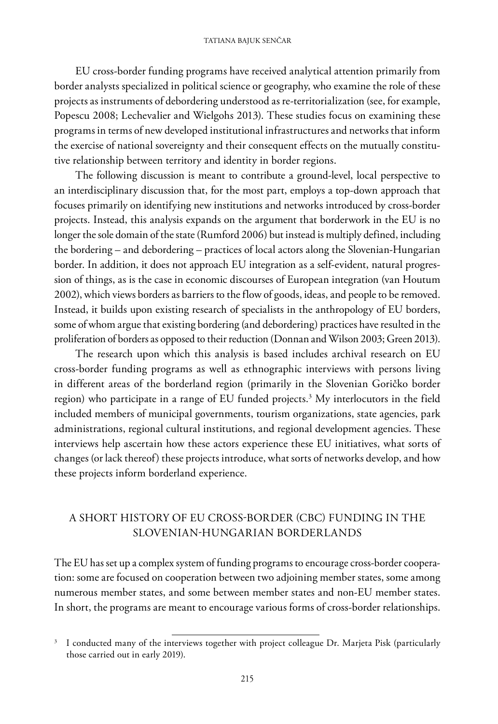#### TATIANA BAJUK SENČAR

EU cross-border funding programs have received analytical attention primarily from border analysts specialized in political science or geography, who examine the role of these projects as instruments of debordering understood as re-territorialization (see, for example, Popescu 2008; Lechevalier and Wielgohs 2013). These studies focus on examining these programs in terms of new developed institutional infrastructures and networks that inform the exercise of national sovereignty and their consequent effects on the mutually constitutive relationship between territory and identity in border regions.

The following discussion is meant to contribute a ground-level, local perspective to an interdisciplinary discussion that, for the most part, employs a top-down approach that focuses primarily on identifying new institutions and networks introduced by cross-border projects. Instead, this analysis expands on the argument that borderwork in the EU is no longer the sole domain of the state (Rumford 2006) but instead is multiply defined, including the bordering – and debordering – practices of local actors along the Slovenian-Hungarian border. In addition, it does not approach EU integration as a self-evident, natural progression of things, as is the case in economic discourses of European integration (van Houtum 2002), which views borders as barriers to the flow of goods, ideas, and people to be removed. Instead, it builds upon existing research of specialists in the anthropology of EU borders, some of whom argue that existing bordering (and debordering) practices have resulted in the proliferation of borders as opposed to their reduction (Donnan and Wilson 2003; Green 2013).

The research upon which this analysis is based includes archival research on EU cross-border funding programs as well as ethnographic interviews with persons living in different areas of the borderland region (primarily in the Slovenian Goričko border region) who participate in a range of EU funded projects.3 My interlocutors in the field included members of municipal governments, tourism organizations, state agencies, park administrations, regional cultural institutions, and regional development agencies. These interviews help ascertain how these actors experience these EU initiatives, what sorts of changes (or lack thereof) these projects introduce, what sorts of networks develop, and how these projects inform borderland experience.

### A SHORT HISTORY OF EU CROSS-BORDER (CBC) FUNDING IN THE SLOVENIAN-HUNGARIAN BORDERLANDS

The EU has set up a complex system of funding programs to encourage cross-border cooperation: some are focused on cooperation between two adjoining member states, some among numerous member states, and some between member states and non-EU member states. In short, the programs are meant to encourage various forms of cross-border relationships.

<sup>&</sup>lt;sup>3</sup> I conducted many of the interviews together with project colleague Dr. Marjeta Pisk (particularly those carried out in early 2019).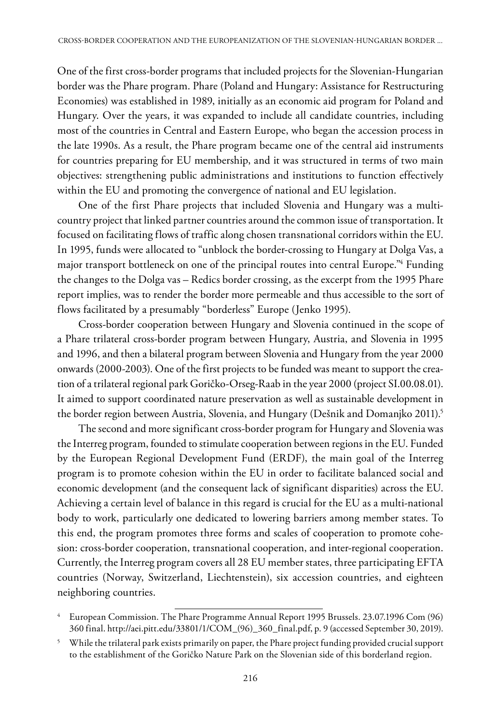One of the first cross-border programs that included projects for the Slovenian-Hungarian border was the Phare program. Phare (Poland and Hungary: Assistance for Restructuring Economies) was established in 1989, initially as an economic aid program for Poland and Hungary. Over the years, it was expanded to include all candidate countries, including most of the countries in Central and Eastern Europe, who began the accession process in the late 1990s. As a result, the Phare program became one of the central aid instruments for countries preparing for EU membership, and it was structured in terms of two main objectives: strengthening public administrations and institutions to function effectively within the EU and promoting the convergence of national and EU legislation.

One of the first Phare projects that included Slovenia and Hungary was a multicountry project that linked partner countries around the common issue of transportation. It focused on facilitating flows of traffic along chosen transnational corridors within the EU. In 1995, funds were allocated to "unblock the border-crossing to Hungary at Dolga Vas, a major transport bottleneck on one of the principal routes into central Europe."4 Funding the changes to the Dolga vas – Redics border crossing, as the excerpt from the 1995 Phare report implies, was to render the border more permeable and thus accessible to the sort of flows facilitated by a presumably "borderless" Europe (Jenko 1995).

Cross-border cooperation between Hungary and Slovenia continued in the scope of a Phare trilateral cross-border program between Hungary, Austria, and Slovenia in 1995 and 1996, and then a bilateral program between Slovenia and Hungary from the year 2000 onwards (2000-2003). One of the first projects to be funded was meant to support the creation of a trilateral regional park Goričko-Orseg-Raab in the year 2000 (project SI.00.08.01). It aimed to support coordinated nature preservation as well as sustainable development in the border region between Austria, Slovenia, and Hungary (Dešnik and Domanjko 2011).<sup>5</sup>

The second and more significant cross-border program for Hungary and Slovenia was the Interreg program, founded to stimulate cooperation between regions in the EU. Funded by the European Regional Development Fund (ERDF), the main goal of the Interreg program is to promote cohesion within the EU in order to facilitate balanced social and economic development (and the consequent lack of significant disparities) across the EU. Achieving a certain level of balance in this regard is crucial for the EU as a multi-national body to work, particularly one dedicated to lowering barriers among member states. To this end, the program promotes three forms and scales of cooperation to promote cohesion: cross-border cooperation, transnational cooperation, and inter-regional cooperation. Currently, the Interreg program covers all 28 EU member states, three participating EFTA countries (Norway, Switzerland, Liechtenstein), six accession countries, and eighteen neighboring countries.

<sup>4</sup> European Commission. The Phare Programme Annual Report 1995 Brussels. 23.07.1996 Com (96) 360 final. http://aei.pitt.edu/33801/1/COM\_(96)\_360\_final.pdf, p. 9 (accessed September 30, 2019).

<sup>5</sup> While the trilateral park exists primarily on paper, the Phare project funding provided crucial support to the establishment of the Goričko Nature Park on the Slovenian side of this borderland region.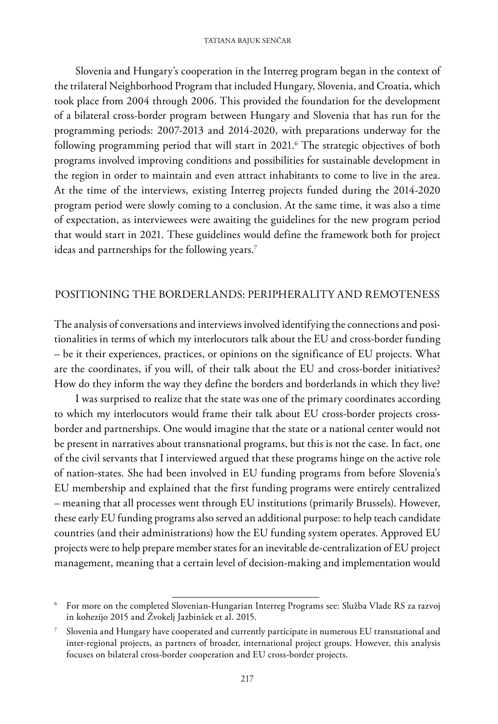Slovenia and Hungary's cooperation in the Interreg program began in the context of the trilateral Neighborhood Program that included Hungary, Slovenia, and Croatia, which took place from 2004 through 2006. This provided the foundation for the development of a bilateral cross-border program between Hungary and Slovenia that has run for the programming periods: 2007-2013 and 2014-2020, with preparations underway for the following programming period that will start in 2021.6 The strategic objectives of both programs involved improving conditions and possibilities for sustainable development in the region in order to maintain and even attract inhabitants to come to live in the area. At the time of the interviews, existing Interreg projects funded during the 2014-2020 program period were slowly coming to a conclusion. At the same time, it was also a time of expectation, as interviewees were awaiting the guidelines for the new program period that would start in 2021. These guidelines would define the framework both for project ideas and partnerships for the following years.<sup>7</sup>

### POSITIONING THE BORDERLANDS: PERIPHERALITY AND REMOTENESS

The analysis of conversations and interviews involved identifying the connections and positionalities in terms of which my interlocutors talk about the EU and cross-border funding – be it their experiences, practices, or opinions on the significance of EU projects. What are the coordinates, if you will, of their talk about the EU and cross-border initiatives? How do they inform the way they define the borders and borderlands in which they live?

I was surprised to realize that the state was one of the primary coordinates according to which my interlocutors would frame their talk about EU cross-border projects crossborder and partnerships. One would imagine that the state or a national center would not be present in narratives about transnational programs, but this is not the case. In fact, one of the civil servants that I interviewed argued that these programs hinge on the active role of nation-states. She had been involved in EU funding programs from before Slovenia's EU membership and explained that the first funding programs were entirely centralized – meaning that all processes went through EU institutions (primarily Brussels). However, these early EU funding programs also served an additional purpose: to help teach candidate countries (and their administrations) how the EU funding system operates. Approved EU projects were to help prepare member states for an inevitable de-centralization of EU project management, meaning that a certain level of decision-making and implementation would

<sup>6</sup> For more on the completed Slovenian-Hungarian Interreg Programs see: Služba Vlade RS za razvoj in kohezijo 2015 and Žvokelj Jazbinšek et al. 2015.

<sup>7</sup> Slovenia and Hungary have cooperated and currently participate in numerous EU transnational and inter-regional projects, as partners of broader, international project groups. However, this analysis focuses on bilateral cross-border cooperation and EU cross-border projects.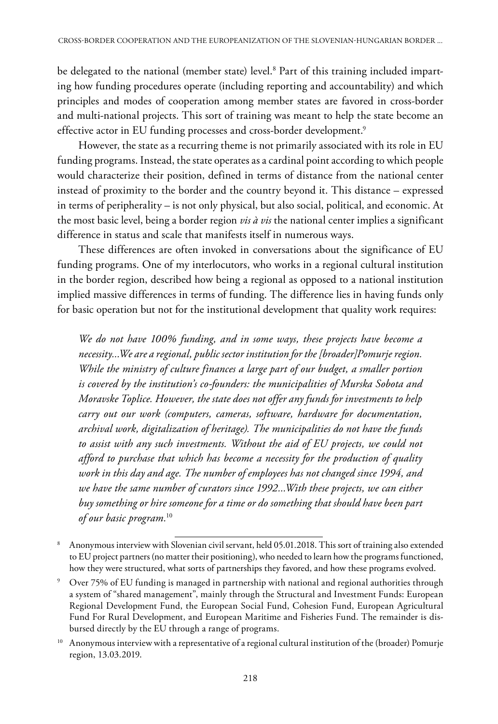be delegated to the national (member state) level.<sup>8</sup> Part of this training included imparting how funding procedures operate (including reporting and accountability) and which principles and modes of cooperation among member states are favored in cross-border and multi-national projects. This sort of training was meant to help the state become an effective actor in EU funding processes and cross-border development.<sup>9</sup>

However, the state as a recurring theme is not primarily associated with its role in EU funding programs. Instead, the state operates as a cardinal point according to which people would characterize their position, defined in terms of distance from the national center instead of proximity to the border and the country beyond it. This distance – expressed in terms of peripherality – is not only physical, but also social, political, and economic. At the most basic level, being a border region *vis à vis* the national center implies a significant difference in status and scale that manifests itself in numerous ways.

These differences are often invoked in conversations about the significance of EU funding programs. One of my interlocutors, who works in a regional cultural institution in the border region, described how being a regional as opposed to a national institution implied massive differences in terms of funding. The difference lies in having funds only for basic operation but not for the institutional development that quality work requires:

*We do not have 100% funding, and in some ways, these projects have become a necessity...We are a regional, public sector institution for the [broader]Pomurje region. While the ministry of culture finances a large part of our budget, a smaller portion is covered by the institution's co-founders: the municipalities of Murska Sobota and Moravske Toplice. However, the state does not offer any funds for investments to help carry out our work (computers, cameras, software, hardware for documentation, archival work, digitalization of heritage). The municipalities do not have the funds to assist with any such investments. Without the aid of EU projects, we could not afford to purchase that which has become a necessity for the production of quality work in this day and age. The number of employees has not changed since 1994, and we have the same number of curators since 1992...With these projects, we can either buy something or hire someone for a time or do something that should have been part of our basic program.*<sup>10</sup>

<sup>8</sup> Anonymous interview with Slovenian civil servant, held 05.01.2018. This sort of training also extended to EU project partners (no matter their positioning), who needed to learn how the programs functioned, how they were structured, what sorts of partnerships they favored, and how these programs evolved.

<sup>&</sup>lt;sup>9</sup> Over 75% of EU funding is managed in partnership with national and regional authorities through a system of "shared management", mainly through the Structural and Investment Funds: European Regional Development Fund, the European Social Fund, Cohesion Fund, European Agricultural Fund For Rural Development, and European Maritime and Fisheries Fund. The remainder is disbursed directly by the EU through a range of programs.

<sup>&</sup>lt;sup>10</sup> Anonymous interview with a representative of a regional cultural institution of the (broader) Pomurje region, 13.03.2019.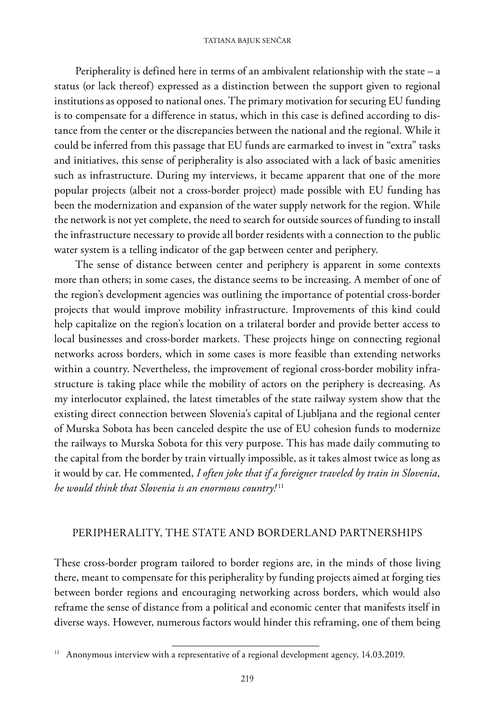Peripherality is defined here in terms of an ambivalent relationship with the state – a status (or lack thereof) expressed as a distinction between the support given to regional institutions as opposed to national ones. The primary motivation for securing EU funding is to compensate for a difference in status, which in this case is defined according to distance from the center or the discrepancies between the national and the regional. While it could be inferred from this passage that EU funds are earmarked to invest in "extra" tasks and initiatives, this sense of peripherality is also associated with a lack of basic amenities such as infrastructure. During my interviews, it became apparent that one of the more popular projects (albeit not a cross-border project) made possible with EU funding has been the modernization and expansion of the water supply network for the region. While the network is not yet complete, the need to search for outside sources of funding to install the infrastructure necessary to provide all border residents with a connection to the public water system is a telling indicator of the gap between center and periphery.

The sense of distance between center and periphery is apparent in some contexts more than others; in some cases, the distance seems to be increasing. A member of one of the region's development agencies was outlining the importance of potential cross-border projects that would improve mobility infrastructure. Improvements of this kind could help capitalize on the region's location on a trilateral border and provide better access to local businesses and cross-border markets. These projects hinge on connecting regional networks across borders, which in some cases is more feasible than extending networks within a country. Nevertheless, the improvement of regional cross-border mobility infrastructure is taking place while the mobility of actors on the periphery is decreasing. As my interlocutor explained, the latest timetables of the state railway system show that the existing direct connection between Slovenia's capital of Ljubljana and the regional center of Murska Sobota has been canceled despite the use of EU cohesion funds to modernize the railways to Murska Sobota for this very purpose. This has made daily commuting to the capital from the border by train virtually impossible, as it takes almost twice as long as it would by car. He commented, *I often joke that if a foreigner traveled by train in Slovenia, he would think that Slovenia is an enormous country!* <sup>11</sup>

### PERIPHERALITY, THE STATE AND BORDERLAND PARTNERSHIPS

These cross-border program tailored to border regions are, in the minds of those living there, meant to compensate for this peripherality by funding projects aimed at forging ties between border regions and encouraging networking across borders, which would also reframe the sense of distance from a political and economic center that manifests itself in diverse ways. However, numerous factors would hinder this reframing, one of them being

 $11$  Anonymous interview with a representative of a regional development agency, 14.03.2019.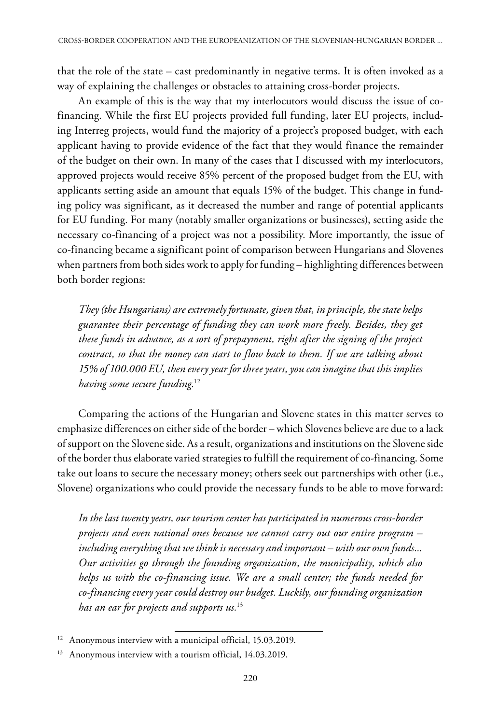that the role of the state – cast predominantly in negative terms. It is often invoked as a way of explaining the challenges or obstacles to attaining cross-border projects.

An example of this is the way that my interlocutors would discuss the issue of cofinancing. While the first EU projects provided full funding, later EU projects, including Interreg projects, would fund the majority of a project's proposed budget, with each applicant having to provide evidence of the fact that they would finance the remainder of the budget on their own. In many of the cases that I discussed with my interlocutors, approved projects would receive 85% percent of the proposed budget from the EU, with applicants setting aside an amount that equals 15% of the budget. This change in funding policy was significant, as it decreased the number and range of potential applicants for EU funding. For many (notably smaller organizations or businesses), setting aside the necessary co-financing of a project was not a possibility. More importantly, the issue of co-financing became a significant point of comparison between Hungarians and Slovenes when partners from both sides work to apply for funding – highlighting differences between both border regions:

*They (the Hungarians) are extremely fortunate, given that, in principle, the state helps guarantee their percentage of funding they can work more freely. Besides, they get these funds in advance, as a sort of prepayment, right after the signing of the project contract, so that the money can start to flow back to them. If we are talking about 15% of 100.000 EU, then every year for three years, you can imagine that this implies having some secure funding.*<sup>12</sup>

Comparing the actions of the Hungarian and Slovene states in this matter serves to emphasize differences on either side of the border – which Slovenes believe are due to a lack of support on the Slovene side. As a result, organizations and institutions on the Slovene side of the border thus elaborate varied strategies to fulfill the requirement of co-financing. Some take out loans to secure the necessary money; others seek out partnerships with other (i.e., Slovene) organizations who could provide the necessary funds to be able to move forward:

*In the last twenty years, our tourism center has participated in numerous cross-border projects and even national ones because we cannot carry out our entire program – including everything that we think is necessary and important – with our own funds... Our activities go through the founding organization, the municipality, which also helps us with the co-financing issue. We are a small center; the funds needed for co-financing every year could destroy our budget. Luckily, our founding organization has an ear for projects and supports us.*<sup>13</sup>

<sup>&</sup>lt;sup>12</sup> Anonymous interview with a municipal official, 15.03.2019.

<sup>&</sup>lt;sup>13</sup> Anonymous interview with a tourism official, 14.03.2019.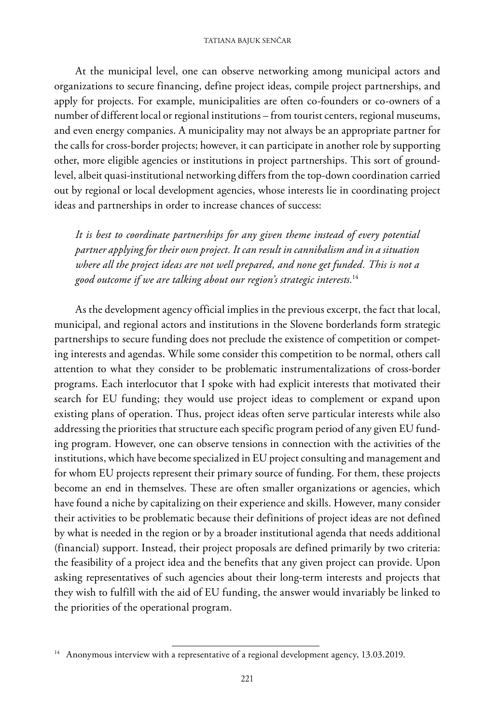At the municipal level, one can observe networking among municipal actors and organizations to secure financing, define project ideas, compile project partnerships, and apply for projects. For example, municipalities are often co-founders or co-owners of a number of different local or regional institutions – from tourist centers, regional museums, and even energy companies. A municipality may not always be an appropriate partner for the calls for cross-border projects; however, it can participate in another role by supporting other, more eligible agencies or institutions in project partnerships. This sort of groundlevel, albeit quasi-institutional networking differs from the top-down coordination carried out by regional or local development agencies, whose interests lie in coordinating project ideas and partnerships in order to increase chances of success:

*It is best to coordinate partnerships for any given theme instead of every potential partner applying for their own project. It can result in cannibalism and in a situation where all the project ideas are not well prepared, and none get funded. This is not a good outcome if we are talking about our region's strategic interests.*<sup>14</sup>

As the development agency official implies in the previous excerpt, the fact that local, municipal, and regional actors and institutions in the Slovene borderlands form strategic partnerships to secure funding does not preclude the existence of competition or competing interests and agendas. While some consider this competition to be normal, others call attention to what they consider to be problematic instrumentalizations of cross-border programs. Each interlocutor that I spoke with had explicit interests that motivated their search for EU funding; they would use project ideas to complement or expand upon existing plans of operation. Thus, project ideas often serve particular interests while also addressing the priorities that structure each specific program period of any given EU funding program. However, one can observe tensions in connection with the activities of the institutions, which have become specialized in EU project consulting and management and for whom EU projects represent their primary source of funding. For them, these projects become an end in themselves. These are often smaller organizations or agencies, which have found a niche by capitalizing on their experience and skills. However, many consider their activities to be problematic because their definitions of project ideas are not defined by what is needed in the region or by a broader institutional agenda that needs additional (financial) support. Instead, their project proposals are defined primarily by two criteria: the feasibility of a project idea and the benefits that any given project can provide. Upon asking representatives of such agencies about their long-term interests and projects that they wish to fulfill with the aid of EU funding, the answer would invariably be linked to the priorities of the operational program.

<sup>&</sup>lt;sup>14</sup> Anonymous interview with a representative of a regional development agency, 13.03.2019.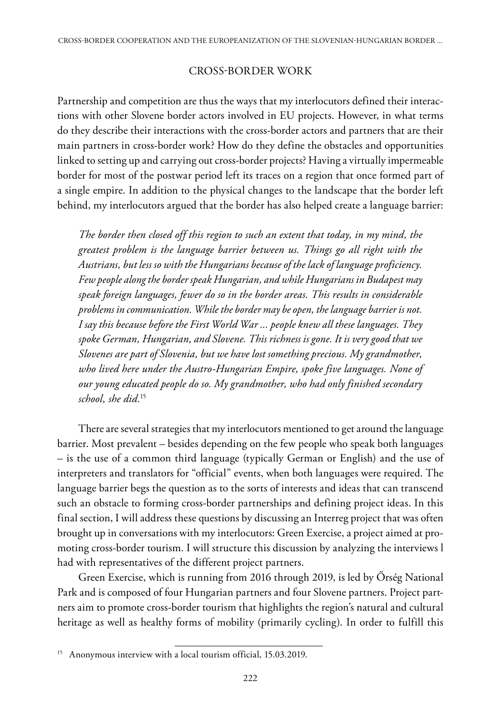#### CROSS-BORDER WORK

Partnership and competition are thus the ways that my interlocutors defined their interactions with other Slovene border actors involved in EU projects. However, in what terms do they describe their interactions with the cross-border actors and partners that are their main partners in cross-border work? How do they define the obstacles and opportunities linked to setting up and carrying out cross-border projects? Having a virtually impermeable border for most of the postwar period left its traces on a region that once formed part of a single empire. In addition to the physical changes to the landscape that the border left behind, my interlocutors argued that the border has also helped create a language barrier:

*The border then closed off this region to such an extent that today, in my mind, the greatest problem is the language barrier between us. Things go all right with the Austrians, but less so with the Hungarians because of the lack of language proficiency. Few people along the border speak Hungarian, and while Hungarians in Budapest may speak foreign languages, fewer do so in the border areas. This results in considerable problems in communication. While the border may be open, the language barrier is not. I say this because before the First World War ... people knew all these languages. They spoke German, Hungarian, and Slovene. This richness is gone. It is very good that we Slovenes are part of Slovenia, but we have lost something precious. My grandmother, who lived here under the Austro-Hungarian Empire, spoke five languages. None of our young educated people do so. My grandmother, who had only finished secondary school, she did.*<sup>15</sup>

There are several strategies that my interlocutors mentioned to get around the language barrier. Most prevalent – besides depending on the few people who speak both languages – is the use of a common third language (typically German or English) and the use of interpreters and translators for "official" events, when both languages were required. The language barrier begs the question as to the sorts of interests and ideas that can transcend such an obstacle to forming cross-border partnerships and defining project ideas. In this final section, I will address these questions by discussing an Interreg project that was often brought up in conversations with my interlocutors: Green Exercise, a project aimed at promoting cross-border tourism. I will structure this discussion by analyzing the interviews l had with representatives of the different project partners.

Green Exercise, which is running from 2016 through 2019, is led by Őrség National Park and is composed of four Hungarian partners and four Slovene partners. Project partners aim to promote cross-border tourism that highlights the region's natural and cultural heritage as well as healthy forms of mobility (primarily cycling). In order to fulfill this

<sup>&</sup>lt;sup>15</sup> Anonymous interview with a local tourism official, 15.03.2019.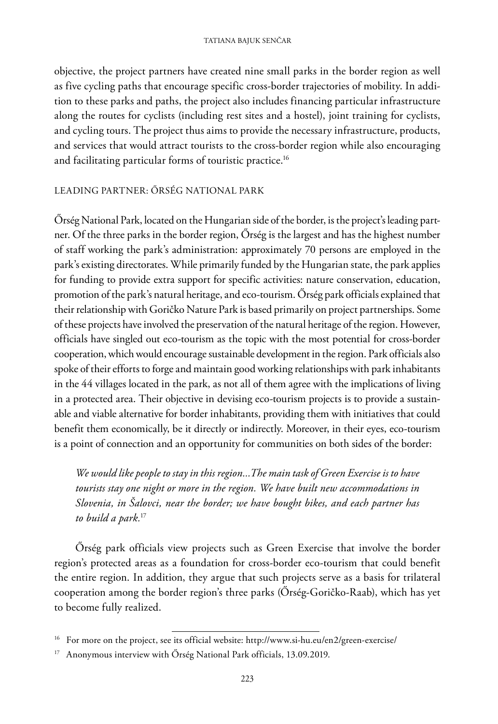objective, the project partners have created nine small parks in the border region as well as five cycling paths that encourage specific cross-border trajectories of mobility. In addition to these parks and paths, the project also includes financing particular infrastructure along the routes for cyclists (including rest sites and a hostel), joint training for cyclists, and cycling tours. The project thus aims to provide the necessary infrastructure, products, and services that would attract tourists to the cross-border region while also encouraging and facilitating particular forms of touristic practice.16

#### LEADING PARTNER: ŐRSÉG NATIONAL PARK

Őrség National Park, located on the Hungarian side of the border, is the project's leading partner. Of the three parks in the border region, Őrség is the largest and has the highest number of staff working the park's administration: approximately 70 persons are employed in the park's existing directorates. While primarily funded by the Hungarian state, the park applies for funding to provide extra support for specific activities: nature conservation, education, promotion of the park's natural heritage, and eco-tourism. Őrség park officials explained that their relationship with Goričko Nature Park is based primarily on project partnerships. Some of these projects have involved the preservation of the natural heritage of the region. However, officials have singled out eco-tourism as the topic with the most potential for cross-border cooperation, which would encourage sustainable development in the region. Park officials also spoke of their efforts to forge and maintain good working relationships with park inhabitants in the 44 villages located in the park, as not all of them agree with the implications of living in a protected area. Their objective in devising eco-tourism projects is to provide a sustainable and viable alternative for border inhabitants, providing them with initiatives that could benefit them economically, be it directly or indirectly. Moreover, in their eyes, eco-tourism is a point of connection and an opportunity for communities on both sides of the border:

*We would like people to stay in this region...The main task of Green Exercise is to have tourists stay one night or more in the region. We have built new accommodations in Slovenia, in Šalovci, near the border; we have bought bikes, and each partner has to build a park.*<sup>17</sup>

Őrség park officials view projects such as Green Exercise that involve the border region's protected areas as a foundation for cross-border eco-tourism that could benefit the entire region. In addition, they argue that such projects serve as a basis for trilateral cooperation among the border region's three parks (Őrség-Goričko-Raab), which has yet to become fully realized.

<sup>&</sup>lt;sup>16</sup> For more on the project, see its official website: http://www.si-hu.eu/en2/green-exercise/

<sup>&</sup>lt;sup>17</sup> Anonymous interview with Őrség National Park officials, 13.09.2019.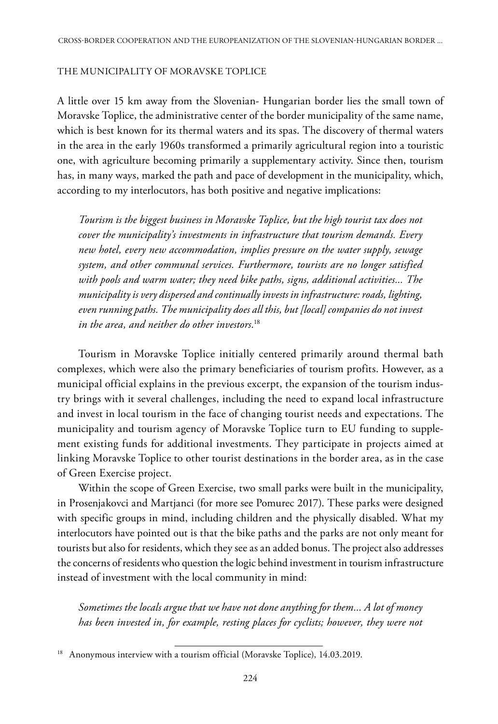#### THE MUNICIPALITY OF MORAVSKE TOPLICE

A little over 15 km away from the Slovenian- Hungarian border lies the small town of Moravske Toplice, the administrative center of the border municipality of the same name, which is best known for its thermal waters and its spas. The discovery of thermal waters in the area in the early 1960s transformed a primarily agricultural region into a touristic one, with agriculture becoming primarily a supplementary activity. Since then, tourism has, in many ways, marked the path and pace of development in the municipality, which, according to my interlocutors, has both positive and negative implications:

*Tourism is the biggest business in Moravske Toplice, but the high tourist tax does not cover the municipality's investments in infrastructure that tourism demands. Every new hotel, every new accommodation, implies pressure on the water supply, sewage system, and other communal services. Furthermore, tourists are no longer satisfied with pools and warm water; they need bike paths, signs, additional activities... The municipality is very dispersed and continually invests in infrastructure: roads, lighting, even running paths. The municipality does all this, but [local] companies do not invest in the area, and neither do other investors.*<sup>18</sup>

Tourism in Moravske Toplice initially centered primarily around thermal bath complexes, which were also the primary beneficiaries of tourism profits. However, as a municipal official explains in the previous excerpt, the expansion of the tourism industry brings with it several challenges, including the need to expand local infrastructure and invest in local tourism in the face of changing tourist needs and expectations. The municipality and tourism agency of Moravske Toplice turn to EU funding to supplement existing funds for additional investments. They participate in projects aimed at linking Moravske Toplice to other tourist destinations in the border area, as in the case of Green Exercise project.

Within the scope of Green Exercise, two small parks were built in the municipality, in Prosenjakovci and Martjanci (for more see Pomurec 2017). These parks were designed with specific groups in mind, including children and the physically disabled. What my interlocutors have pointed out is that the bike paths and the parks are not only meant for tourists but also for residents, which they see as an added bonus. The project also addresses the concerns of residents who question the logic behind investment in tourism infrastructure instead of investment with the local community in mind:

*Sometimes the locals argue that we have not done anything for them... A lot of money has been invested in, for example, resting places for cyclists; however, they were not* 

<sup>&</sup>lt;sup>18</sup> Anonymous interview with a tourism official (Moravske Toplice), 14.03.2019.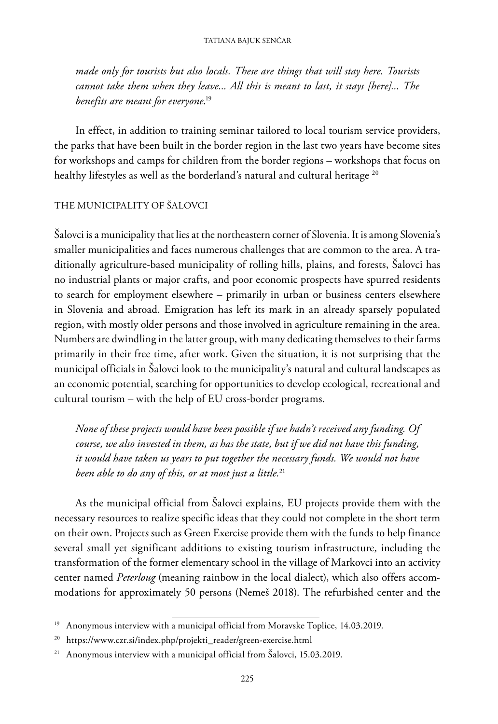*made only for tourists but also locals. These are things that will stay here. Tourists cannot take them when they leave... All this is meant to last, it stays [here]... The benefits are meant for everyone*. 19

In effect, in addition to training seminar tailored to local tourism service providers, the parks that have been built in the border region in the last two years have become sites for workshops and camps for children from the border regions – workshops that focus on healthy lifestyles as well as the borderland's natural and cultural heritage<sup>20</sup>

### THE MUNICIPALITY OF ŠALOVCI

Šalovci is a municipality that lies at the northeastern corner of Slovenia. It is among Slovenia's smaller municipalities and faces numerous challenges that are common to the area. A traditionally agriculture-based municipality of rolling hills, plains, and forests, Šalovci has no industrial plants or major crafts, and poor economic prospects have spurred residents to search for employment elsewhere – primarily in urban or business centers elsewhere in Slovenia and abroad. Emigration has left its mark in an already sparsely populated region, with mostly older persons and those involved in agriculture remaining in the area. Numbers are dwindling in the latter group, with many dedicating themselves to their farms primarily in their free time, after work. Given the situation, it is not surprising that the municipal officials in Šalovci look to the municipality's natural and cultural landscapes as an economic potential, searching for opportunities to develop ecological, recreational and cultural tourism – with the help of EU cross-border programs.

*None of these projects would have been possible if we hadn't received any funding. Of course, we also invested in them, as has the state, but if we did not have this funding, it would have taken us years to put together the necessary funds. We would not have been able to do any of this, or at most just a little.*<sup>21</sup>

As the municipal official from Šalovci explains, EU projects provide them with the necessary resources to realize specific ideas that they could not complete in the short term on their own. Projects such as Green Exercise provide them with the funds to help finance several small yet significant additions to existing tourism infrastructure, including the transformation of the former elementary school in the village of Markovci into an activity center named *Peterloug* (meaning rainbow in the local dialect), which also offers accommodations for approximately 50 persons (Nemeš 2018). The refurbished center and the

<sup>&</sup>lt;sup>19</sup> Anonymous interview with a municipal official from Moravske Toplice, 14.03.2019.

<sup>20</sup> https://www.czr.si/index.php/projekti\_reader/green-exercise.html

<sup>&</sup>lt;sup>21</sup> Anonymous interview with a municipal official from Šalovci, 15.03.2019.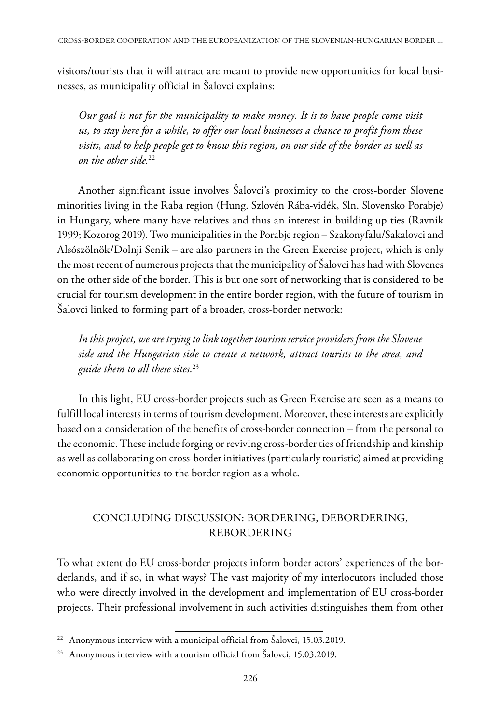visitors/tourists that it will attract are meant to provide new opportunities for local businesses, as municipality official in Šalovci explains:

*Our goal is not for the municipality to make money. It is to have people come visit us, to stay here for a while, to offer our local businesses a chance to profit from these visits, and to help people get to know this region, on our side of the border as well as on the other side.*<sup>22</sup>

Another significant issue involves Šalovci's proximity to the cross-border Slovene minorities living in the Raba region (Hung. Szlovén Rába-vidék, Sln. Slovensko Porabje) in Hungary, where many have relatives and thus an interest in building up ties (Ravnik 1999; Kozorog 2019). Two municipalities in the Porabje region – Szakonyfalu/Sakalovci and Alsószölnök/Dolnji Senik – are also partners in the Green Exercise project, which is only the most recent of numerous projects that the municipality of Šalovci has had with Slovenes on the other side of the border. This is but one sort of networking that is considered to be crucial for tourism development in the entire border region, with the future of tourism in Šalovci linked to forming part of a broader, cross-border network:

*In this project, we are trying to link together tourism service providers from the Slovene side and the Hungarian side to create a network, attract tourists to the area, and guide them to all these sites*. 23

In this light, EU cross-border projects such as Green Exercise are seen as a means to fulfill local interests in terms of tourism development. Moreover, these interests are explicitly based on a consideration of the benefits of cross-border connection – from the personal to the economic. These include forging or reviving cross-border ties of friendship and kinship as well as collaborating on cross-border initiatives (particularly touristic) aimed at providing economic opportunities to the border region as a whole.

### CONCLUDING DISCUSSION: BORDERING, DEBORDERING, REBORDERING

To what extent do EU cross-border projects inform border actors' experiences of the borderlands, and if so, in what ways? The vast majority of my interlocutors included those who were directly involved in the development and implementation of EU cross-border projects. Their professional involvement in such activities distinguishes them from other

<sup>&</sup>lt;sup>22</sup> Anonymous interview with a municipal official from Šalovci, 15.03.2019.

<sup>&</sup>lt;sup>23</sup> Anonymous interview with a tourism official from Šalovci, 15.03.2019.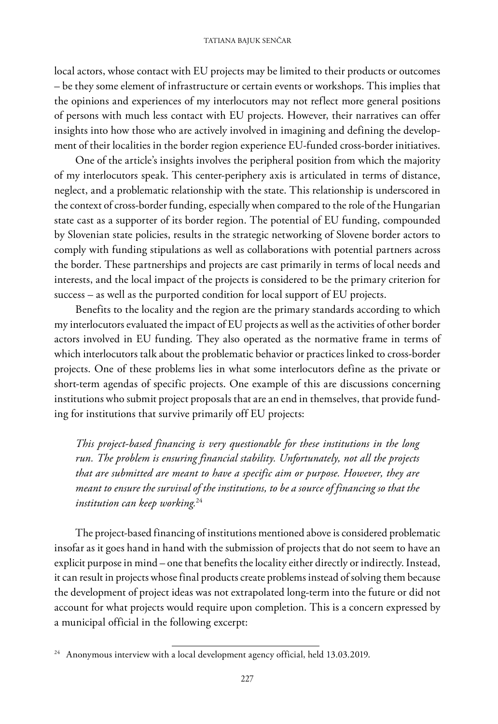local actors, whose contact with EU projects may be limited to their products or outcomes – be they some element of infrastructure or certain events or workshops. This implies that the opinions and experiences of my interlocutors may not reflect more general positions of persons with much less contact with EU projects. However, their narratives can offer insights into how those who are actively involved in imagining and defining the development of their localities in the border region experience EU-funded cross-border initiatives.

One of the article's insights involves the peripheral position from which the majority of my interlocutors speak. This center-periphery axis is articulated in terms of distance, neglect, and a problematic relationship with the state. This relationship is underscored in the context of cross-border funding, especially when compared to the role of the Hungarian state cast as a supporter of its border region. The potential of EU funding, compounded by Slovenian state policies, results in the strategic networking of Slovene border actors to comply with funding stipulations as well as collaborations with potential partners across the border. These partnerships and projects are cast primarily in terms of local needs and interests, and the local impact of the projects is considered to be the primary criterion for success – as well as the purported condition for local support of EU projects.

Benefits to the locality and the region are the primary standards according to which my interlocutors evaluated the impact of EU projects as well as the activities of other border actors involved in EU funding. They also operated as the normative frame in terms of which interlocutors talk about the problematic behavior or practices linked to cross-border projects. One of these problems lies in what some interlocutors define as the private or short-term agendas of specific projects. One example of this are discussions concerning institutions who submit project proposals that are an end in themselves, that provide funding for institutions that survive primarily off EU projects:

*This project-based financing is very questionable for these institutions in the long run. The problem is ensuring financial stability. Unfortunately, not all the projects that are submitted are meant to have a specific aim or purpose. However, they are meant to ensure the survival of the institutions, to be a source of financing so that the institution can keep working.*<sup>24</sup>

The project-based financing of institutions mentioned above is considered problematic insofar as it goes hand in hand with the submission of projects that do not seem to have an explicit purpose in mind – one that benefits the locality either directly or indirectly. Instead, it can result in projects whose final products create problems instead of solving them because the development of project ideas was not extrapolated long-term into the future or did not account for what projects would require upon completion. This is a concern expressed by a municipal official in the following excerpt:

 $24$  Anonymous interview with a local development agency official, held 13.03.2019.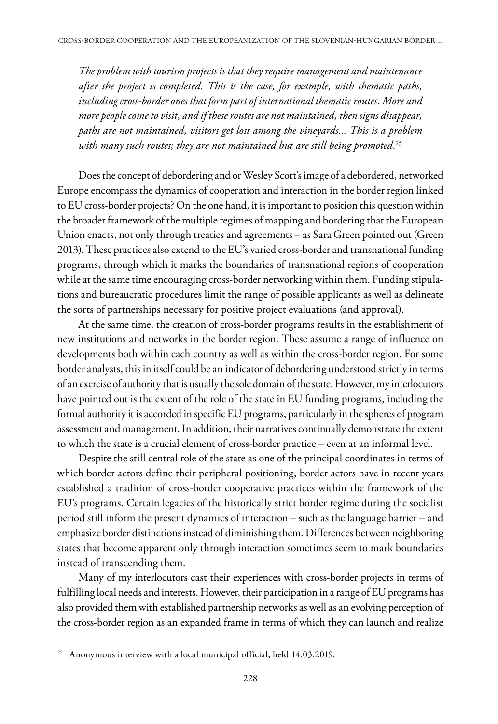*The problem with tourism projects is that they require management and maintenance after the project is completed. This is the case, for example, with thematic paths, including cross-border ones that form part of international thematic routes. More and more people come to visit, and if these routes are not maintained, then signs disappear, paths are not maintained, visitors get lost among the vineyards... This is a problem with many such routes; they are not maintained but are still being promoted.*<sup>25</sup>

Does the concept of debordering and or Wesley Scott's image of a debordered, networked Europe encompass the dynamics of cooperation and interaction in the border region linked to EU cross-border projects? On the one hand, it is important to position this question within the broader framework of the multiple regimes of mapping and bordering that the European Union enacts, not only through treaties and agreements – as Sara Green pointed out (Green 2013). These practices also extend to the EU's varied cross-border and transnational funding programs, through which it marks the boundaries of transnational regions of cooperation while at the same time encouraging cross-border networking within them. Funding stipulations and bureaucratic procedures limit the range of possible applicants as well as delineate the sorts of partnerships necessary for positive project evaluations (and approval).

At the same time, the creation of cross-border programs results in the establishment of new institutions and networks in the border region. These assume a range of influence on developments both within each country as well as within the cross-border region. For some border analysts, this in itself could be an indicator of debordering understood strictly in terms of an exercise of authority that is usually the sole domain of the state. However, my interlocutors have pointed out is the extent of the role of the state in EU funding programs, including the formal authority it is accorded in specific EU programs, particularly in the spheres of program assessment and management. In addition, their narratives continually demonstrate the extent to which the state is a crucial element of cross-border practice – even at an informal level.

Despite the still central role of the state as one of the principal coordinates in terms of which border actors define their peripheral positioning, border actors have in recent years established a tradition of cross-border cooperative practices within the framework of the EU's programs. Certain legacies of the historically strict border regime during the socialist period still inform the present dynamics of interaction – such as the language barrier – and emphasize border distinctions instead of diminishing them. Differences between neighboring states that become apparent only through interaction sometimes seem to mark boundaries instead of transcending them.

Many of my interlocutors cast their experiences with cross-border projects in terms of fulfilling local needs and interests. However, their participation in a range of EU programs has also provided them with established partnership networks as well as an evolving perception of the cross-border region as an expanded frame in terms of which they can launch and realize

<sup>&</sup>lt;sup>25</sup> Anonymous interview with a local municipal official, held 14.03.2019.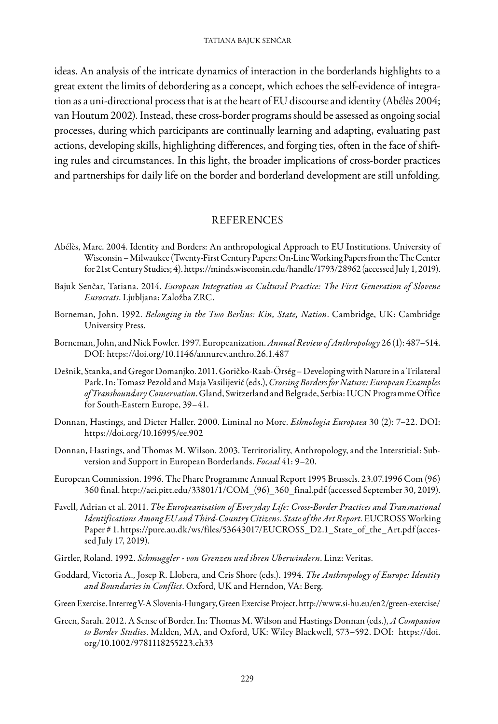ideas. An analysis of the intricate dynamics of interaction in the borderlands highlights to a great extent the limits of debordering as a concept, which echoes the self-evidence of integration as a uni-directional process that is at the heart of EU discourse and identity (Abélès 2004; van Houtum 2002). Instead, these cross-border programs should be assessed as ongoing social processes, during which participants are continually learning and adapting, evaluating past actions, developing skills, highlighting differences, and forging ties, often in the face of shifting rules and circumstances. In this light, the broader implications of cross-border practices and partnerships for daily life on the border and borderland development are still unfolding.

#### REFERENCES

- Abélès, Marc. 2004. Identity and Borders: An anthropological Approach to EU Institutions. University of Wisconsin – Milwaukee (Twenty-First Century Papers: On-Line Working Papers from the The Center for 21st Century Studies; 4). https://minds.wisconsin.edu/handle/1793/28962 (accessed July 1, 2019).
- Bajuk Senčar, Tatiana. 2014. *European Integration as Cultural Practice: The First Generation of Slovene Eurocrats*. Ljubljana: Založba ZRC.
- Borneman, John. 1992. *Belonging in the Two Berlins: Kin, State, Nation*. Cambridge, UK: Cambridge University Press.
- Borneman, John, and Nick Fowler. 1997. Europeanization. *Annual Review of Anthropology* 26 (1): 487–514. DOI: https://doi.org/10.1146/annurev.anthro.26.1.487
- Dešnik, Stanka, and Gregor Domanjko. 2011. Goričko-Raab-Őrség Developing with Nature in a Trilateral Park. In: Tomasz Pezold and Maja Vasilijević (eds.), *Crossing Borders for Nature: European Examples of Transboundary Conservation*. Gland, Switzerland and Belgrade, Serbia: IUCN Programme Office for South-Eastern Europe, 39–41.
- Donnan, Hastings, and Dieter Haller. 2000. Liminal no More. *Ethnologia Europaea* 30 (2): 7–22. DOI: https://doi.org/10.16995/ee.902
- Donnan, Hastings, and Thomas M. Wilson. 2003. Territoriality, Anthropology, and the Interstitial: Subversion and Support in European Borderlands. *Focaal* 41: 9–20.
- European Commission. 1996. The Phare Programme Annual Report 1995 Brussels. 23.07.1996 Com (96) 360 final. http://aei.pitt.edu/33801/1/COM\_(96)\_360\_final.pdf (accessed September 30, 2019).
- Favell, Adrian et al. 2011. *The Europeanisation of Everyday Life: Cross-Border Practices and Transnational Identifications Among EU and Third-Country Citizens. State of the Art Report.* EUCROSS Working Paper # 1. https://pure.au.dk/ws/files/53643017/EUCROSS\_D2.1\_State\_of\_the\_Art.pdf (accessed July 17, 2019).
- Girtler, Roland. 1992. *Schmuggler von Grenzen und ihren Uberwindern*. Linz: Veritas.
- Goddard, Victoria A., Josep R. Llobera, and Cris Shore (eds.). 1994. *The Anthropology of Europe: Identity and Boundaries in Conflict*. Oxford, UK and Herndon, VA: Berg.
- Green Exercise. Interreg V-A Slovenia-Hungary, Green Exercise Project. http://www.si-hu.eu/en2/green-exercise/
- Green, Sarah. 2012. A Sense of Border. In: Thomas M. Wilson and Hastings Donnan (eds.), *A Companion to Border Studies*. Malden, MA, and Oxford, UK: Wiley Blackwell, 573–592. DOI: https://doi. org/10.1002/9781118255223.ch33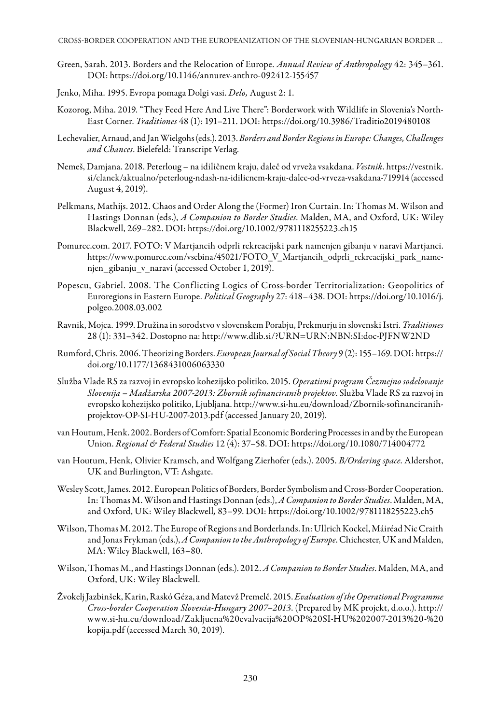CROSS-BORDER COOPERATION AND THE EUROPEANIZATION OF THE SLOVENIAN-HUNGARIAN BORDER ...

- Green, Sarah. 2013. Borders and the Relocation of Europe. *Annual Review of Anthropology* 42: 345–361. DOI: https://doi.org/10.1146/annurev-anthro-092412-155457
- Jenko, Miha. 1995. Evropa pomaga Dolgi vasi. *Delo,* August 2: 1.
- Kozorog, Miha. 2019. "They Feed Here And Live There": Borderwork with Wildlife in Slovenia's North-East Corner. *Traditiones* 48 (1): 191–211. DOI: https://doi.org/10.3986/Traditio2019480108
- Lechevalier, Arnaud, and Jan Wielgohs (eds.). 2013. *Borders and Border Regions in Europe: Changes, Challenges and Chances*. Bielefeld: Transcript Verlag.
- Nemeš, Damjana. 2018. Peterloug na idiličnem kraju, daleč od vrveža vsakdana. *Vestnik*. https://vestnik. si/clanek/aktualno/peterloug-ndash-na-idilicnem-kraju-dalec-od-vrveza-vsakdana-719914 (accessed August 4, 2019).
- Pelkmans, Mathijs. 2012. Chaos and Order Along the (Former) Iron Curtain. In: Thomas M. Wilson and Hastings Donnan (eds.), *A Companion to Border Studies*. Malden, MA, and Oxford, UK: Wiley Blackwell, 269–282. DOI: https://doi.org/10.1002/9781118255223.ch15
- Pomurec.com. 2017. FOTO: V Martjancih odprli rekreacijski park namenjen gibanju v naravi Martjanci. https://www.pomurec.com/vsebina/45021/FOTO\_V\_Martjancih\_odprli\_rekreacijski\_park\_namenjen\_gibanju\_v\_naravi (accessed October 1, 2019).
- Popescu, Gabriel. 2008. The Conflicting Logics of Cross-border Territorialization: Geopolitics of Euroregions in Eastern Europe. *Political Geography* 27: 418–438. DOI: https://doi.org/10.1016/j. polgeo.2008.03.002
- Ravnik, Mojca. 1999. Družina in sorodstvo v slovenskem Porabju, Prekmurju in slovenski Istri. *Traditiones* 28 (1): 331–342. Dostopno na: http://www.dlib.si/?URN=URN:NBN:SI:doc-PJFNW2ND
- Rumford, Chris. 2006. Theorizing Borders. *European Journal of Social Theory* 9 (2): 155–169. DOI: https:// doi.org/10.1177/1368431006063330
- Služba Vlade RS za razvoj in evropsko kohezijsko politiko. 2015. *Operativni program Čezmejno sodelovanje Slovenija – Madžarska 2007-2013: Zbornik sofinanciranih projektov*. Služba Vlade RS za razvoj in evropsko kohezijsko politiko, Ljubljana. http://www.si-hu.eu/download/Zbornik-sofinanciranihprojektov-OP-SI-HU-2007-2013.pdf (accessed January 20, 2019).
- van Houtum, Henk. 2002. Borders of Comfort: Spatial Economic Bordering Processes in and by the European Union. *Regional & Federal Studies* 12 (4): 37–58. DOI: https://doi.org/10.1080/714004772
- van Houtum, Henk, Olivier Kramsch, and Wolfgang Zierhofer (eds.). 2005. *B/Ordering space*. Aldershot, UK and Burlington, VT: Ashgate.
- Wesley Scott, James. 2012. European Politics of Borders, Border Symbolism and Cross-Border Cooperation. In: Thomas M. Wilson and Hastings Donnan (eds.), *A Companion to Border Studies*. Malden, MA, and Oxford, UK: Wiley Blackwell*,* 83–99. DOI: https://doi.org/10.1002/9781118255223.ch5
- Wilson, Thomas M. 2012. The Europe of Regions and Borderlands. In: Ullrich Kockel, Máiréad Nic Craith and Jonas Frykman (eds.), *A Companion to the Anthropology of Europe*. Chichester, UK and Malden, MA: Wiley Blackwell, 163–80.
- Wilson, Thomas M., and Hastings Donnan (eds.). 2012. *A Companion to Border Studies*. Malden, MA, and Oxford, UK: Wiley Blackwell.
- Žvokelj Jazbinšek, Karin, Raskó Géza, and Matevž Premelč. 2015. *Evaluation of the Operational Programme Cross-border Cooperation Slovenia-Hungary 2007–2013*. (Prepared by MK projekt, d.o.o.). http:// www.si-hu.eu/download/Zakljucna%20evalvacija%20OP%20SI-HU%202007-2013%20-%20 kopija.pdf (accessed March 30, 2019).